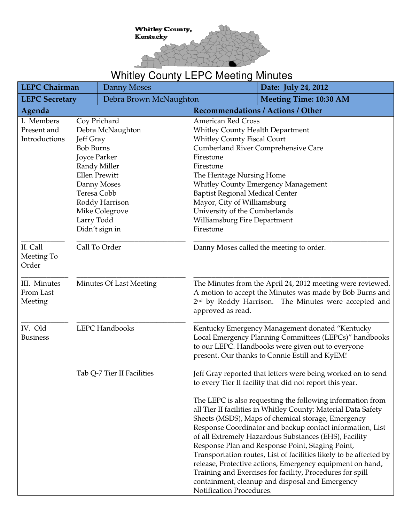

## Whitley County LEPC Meeting Minutes

| <b>LEPC Chairman</b>                                                                                                                                                                                                                                    |                            | Danny Moses                                                                                                                                                                                                                                                                                                 |                                                                                          | Date: July 24, 2012                                                                                                                                                                                                                                                                                                                                                                                                                                                                                                                                                                                             |
|---------------------------------------------------------------------------------------------------------------------------------------------------------------------------------------------------------------------------------------------------------|----------------------------|-------------------------------------------------------------------------------------------------------------------------------------------------------------------------------------------------------------------------------------------------------------------------------------------------------------|------------------------------------------------------------------------------------------|-----------------------------------------------------------------------------------------------------------------------------------------------------------------------------------------------------------------------------------------------------------------------------------------------------------------------------------------------------------------------------------------------------------------------------------------------------------------------------------------------------------------------------------------------------------------------------------------------------------------|
| <b>LEPC Secretary</b>                                                                                                                                                                                                                                   |                            | Debra Brown McNaughton                                                                                                                                                                                                                                                                                      |                                                                                          | <b>Meeting Time: 10:30 AM</b>                                                                                                                                                                                                                                                                                                                                                                                                                                                                                                                                                                                   |
| Agenda                                                                                                                                                                                                                                                  |                            |                                                                                                                                                                                                                                                                                                             |                                                                                          | <b>Recommendations / Actions / Other</b>                                                                                                                                                                                                                                                                                                                                                                                                                                                                                                                                                                        |
| I. Members<br>Coy Prichard<br>Present and<br>Debra McNaughton<br>Introductions<br>Jeff Gray<br><b>Bob Burns</b><br>Joyce Parker<br>Randy Miller<br><b>Ellen Prewitt</b><br>Danny Moses<br>Teresa Cobb<br>Roddy Harrison<br>Mike Colegrove<br>Larry Todd |                            | <b>American Red Cross</b><br><b>Whitley County Health Department</b><br><b>Whitley County Fiscal Court</b><br>Firestone<br>Firestone<br>The Heritage Nursing Home<br><b>Baptist Regional Medical Center</b><br>Mayor, City of Williamsburg<br>University of the Cumberlands<br>Williamsburg Fire Department | <b>Cumberland River Comprehensive Care</b><br><b>Whitley County Emergency Management</b> |                                                                                                                                                                                                                                                                                                                                                                                                                                                                                                                                                                                                                 |
| Didn't sign in<br>II. Call<br>Call To Order<br>Meeting To<br>Order                                                                                                                                                                                      |                            | Firestone                                                                                                                                                                                                                                                                                                   | Danny Moses called the meeting to order.                                                 |                                                                                                                                                                                                                                                                                                                                                                                                                                                                                                                                                                                                                 |
| III. Minutes<br>From Last<br>Meeting                                                                                                                                                                                                                    | Minutes Of Last Meeting    |                                                                                                                                                                                                                                                                                                             | approved as read.                                                                        | The Minutes from the April 24, 2012 meeting were reviewed.<br>A motion to accept the Minutes was made by Bob Burns and<br>2 <sup>nd</sup> by Roddy Harrison. The Minutes were accepted and                                                                                                                                                                                                                                                                                                                                                                                                                      |
| IV. Old<br><b>Business</b>                                                                                                                                                                                                                              | LEPC Handbooks             |                                                                                                                                                                                                                                                                                                             |                                                                                          | Kentucky Emergency Management donated "Kentucky<br>Local Emergency Planning Committees (LEPCs)" handbooks<br>to our LEPC. Handbooks were given out to everyone<br>present. Our thanks to Connie Estill and KyEM!                                                                                                                                                                                                                                                                                                                                                                                                |
|                                                                                                                                                                                                                                                         | Tab Q-7 Tier II Facilities |                                                                                                                                                                                                                                                                                                             |                                                                                          | Jeff Gray reported that letters were being worked on to send<br>to every Tier II facility that did not report this year.                                                                                                                                                                                                                                                                                                                                                                                                                                                                                        |
|                                                                                                                                                                                                                                                         |                            |                                                                                                                                                                                                                                                                                                             | Notification Procedures.                                                                 | The LEPC is also requesting the following information from<br>all Tier II facilities in Whitley County: Material Data Safety<br>Sheets (MSDS), Maps of chemical storage, Emergency<br>Response Coordinator and backup contact information, List<br>of all Extremely Hazardous Substances (EHS), Facility<br>Response Plan and Response Point, Staging Point,<br>Transportation routes, List of facilities likely to be affected by<br>release, Protective actions, Emergency equipment on hand,<br>Training and Exercises for facility, Procedures for spill<br>containment, cleanup and disposal and Emergency |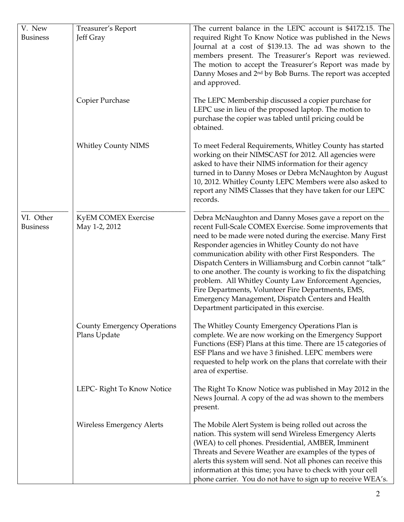| V. New                       | Treasurer's Report                                 | The current balance in the LEPC account is \$4172.15. The                                                                                                                                                                                                                                                                                                                                                                                                                                                                                                                                                                                   |
|------------------------------|----------------------------------------------------|---------------------------------------------------------------------------------------------------------------------------------------------------------------------------------------------------------------------------------------------------------------------------------------------------------------------------------------------------------------------------------------------------------------------------------------------------------------------------------------------------------------------------------------------------------------------------------------------------------------------------------------------|
| <b>Business</b>              | Jeff Gray                                          | required Right To Know Notice was published in the News<br>Journal at a cost of \$139.13. The ad was shown to the<br>members present. The Treasurer's Report was reviewed.<br>The motion to accept the Treasurer's Report was made by<br>Danny Moses and 2 <sup>nd</sup> by Bob Burns. The report was accepted<br>and approved.                                                                                                                                                                                                                                                                                                             |
|                              | Copier Purchase                                    | The LEPC Membership discussed a copier purchase for<br>LEPC use in lieu of the proposed laptop. The motion to<br>purchase the copier was tabled until pricing could be<br>obtained.                                                                                                                                                                                                                                                                                                                                                                                                                                                         |
|                              | <b>Whitley County NIMS</b>                         | To meet Federal Requirements, Whitley County has started<br>working on their NIMSCAST for 2012. All agencies were<br>asked to have their NIMS information for their agency<br>turned in to Danny Moses or Debra McNaughton by August<br>10, 2012. Whitley County LEPC Members were also asked to<br>report any NIMS Classes that they have taken for our LEPC<br>records.                                                                                                                                                                                                                                                                   |
| VI. Other<br><b>Business</b> | <b>KyEM COMEX Exercise</b><br>May 1-2, 2012        | Debra McNaughton and Danny Moses gave a report on the<br>recent Full-Scale COMEX Exercise. Some improvements that<br>need to be made were noted during the exercise. Many First<br>Responder agencies in Whitley County do not have<br>communication ability with other First Responders. The<br>Dispatch Centers in Williamsburg and Corbin cannot "talk"<br>to one another. The county is working to fix the dispatching<br>problem. All Whitley County Law Enforcement Agencies,<br>Fire Departments, Volunteer Fire Departments, EMS,<br>Emergency Management, Dispatch Centers and Health<br>Department participated in this exercise. |
|                              | <b>County Emergency Operations</b><br>Plans Update | The Whitley County Emergency Operations Plan is<br>complete. We are now working on the Emergency Support<br>Functions (ESF) Plans at this time. There are 15 categories of<br>ESF Plans and we have 3 finished. LEPC members were<br>requested to help work on the plans that correlate with their<br>area of expertise.                                                                                                                                                                                                                                                                                                                    |
|                              | LEPC-Right To Know Notice                          | The Right To Know Notice was published in May 2012 in the<br>News Journal. A copy of the ad was shown to the members<br>present.                                                                                                                                                                                                                                                                                                                                                                                                                                                                                                            |
|                              | <b>Wireless Emergency Alerts</b>                   | The Mobile Alert System is being rolled out across the<br>nation. This system will send Wireless Emergency Alerts<br>(WEA) to cell phones. Presidential, AMBER, Imminent<br>Threats and Severe Weather are examples of the types of<br>alerts this system will send. Not all phones can receive this<br>information at this time; you have to check with your cell<br>phone carrier. You do not have to sign up to receive WEA's.                                                                                                                                                                                                           |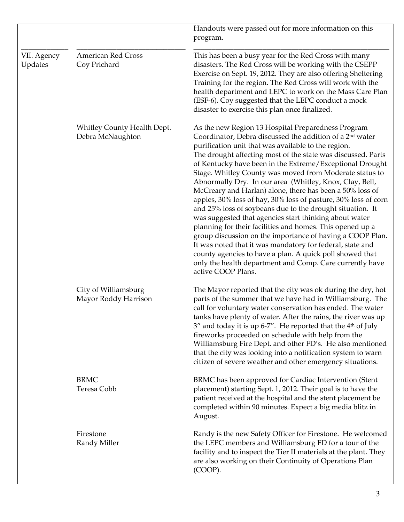|                        |                                                 | Handouts were passed out for more information on this<br>program.                                                                                                                                                                                                                                                                                                                                                                                                                                                                                                                                                                                                                                                                                                                                                                                                                                                                                                                                                             |
|------------------------|-------------------------------------------------|-------------------------------------------------------------------------------------------------------------------------------------------------------------------------------------------------------------------------------------------------------------------------------------------------------------------------------------------------------------------------------------------------------------------------------------------------------------------------------------------------------------------------------------------------------------------------------------------------------------------------------------------------------------------------------------------------------------------------------------------------------------------------------------------------------------------------------------------------------------------------------------------------------------------------------------------------------------------------------------------------------------------------------|
| VII. Agency<br>Updates | <b>American Red Cross</b><br>Coy Prichard       | This has been a busy year for the Red Cross with many<br>disasters. The Red Cross will be working with the CSEPP<br>Exercise on Sept. 19, 2012. They are also offering Sheltering<br>Training for the region. The Red Cross will work with the<br>health department and LEPC to work on the Mass Care Plan<br>(ESF-6). Coy suggested that the LEPC conduct a mock<br>disaster to exercise this plan once finalized.                                                                                                                                                                                                                                                                                                                                                                                                                                                                                                                                                                                                           |
|                        | Whitley County Health Dept.<br>Debra McNaughton | As the new Region 13 Hospital Preparedness Program<br>Coordinator, Debra discussed the addition of a 2 <sup>nd</sup> water<br>purification unit that was available to the region.<br>The drought affecting most of the state was discussed. Parts<br>of Kentucky have been in the Extreme/Exceptional Drought<br>Stage. Whitley County was moved from Moderate status to<br>Abnormally Dry. In our area (Whitley, Knox, Clay, Bell,<br>McCreary and Harlan) alone, there has been a 50% loss of<br>apples, 30% loss of hay, 30% loss of pasture, 30% loss of corn<br>and 25% loss of soybeans due to the drought situation. It<br>was suggested that agencies start thinking about water<br>planning for their facilities and homes. This opened up a<br>group discussion on the importance of having a COOP Plan.<br>It was noted that it was mandatory for federal, state and<br>county agencies to have a plan. A quick poll showed that<br>only the health department and Comp. Care currently have<br>active COOP Plans. |
|                        | City of Williamsburg<br>Mayor Roddy Harrison    | The Mayor reported that the city was ok during the dry, hot<br>parts of the summer that we have had in Williamsburg. The<br>call for voluntary water conservation has ended. The water<br>tanks have plenty of water. After the rains, the river was up<br>3" and today it is up 6-7". He reported that the 4 <sup>th</sup> of July<br>fireworks proceeded on schedule with help from the<br>Williamsburg Fire Dept. and other FD's. He also mentioned<br>that the city was looking into a notification system to warn<br>citizen of severe weather and other emergency situations.                                                                                                                                                                                                                                                                                                                                                                                                                                           |
|                        | <b>BRMC</b><br>Teresa Cobb                      | BRMC has been approved for Cardiac Intervention (Stent<br>placement) starting Sept. 1, 2012. Their goal is to have the<br>patient received at the hospital and the stent placement be<br>completed within 90 minutes. Expect a big media blitz in<br>August.                                                                                                                                                                                                                                                                                                                                                                                                                                                                                                                                                                                                                                                                                                                                                                  |
|                        | Firestone<br>Randy Miller                       | Randy is the new Safety Officer for Firestone. He welcomed<br>the LEPC members and Williamsburg FD for a tour of the<br>facility and to inspect the Tier II materials at the plant. They<br>are also working on their Continuity of Operations Plan<br>(COOP).                                                                                                                                                                                                                                                                                                                                                                                                                                                                                                                                                                                                                                                                                                                                                                |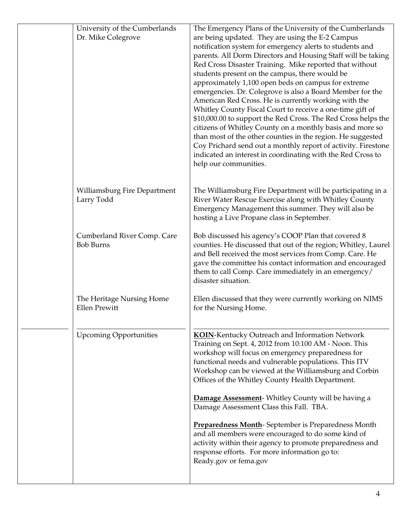| University of the Cumberlands | The Emergency Plans of the University of the Cumberlands                                                          |
|-------------------------------|-------------------------------------------------------------------------------------------------------------------|
| Dr. Mike Colegrove            | are being updated. They are using the E-2 Campus                                                                  |
|                               | notification system for emergency alerts to students and                                                          |
|                               | parents. All Dorm Directors and Housing Staff will be taking                                                      |
|                               | Red Cross Disaster Training. Mike reported that without                                                           |
|                               | students present on the campus, there would be                                                                    |
|                               | approximately 1,100 open beds on campus for extreme                                                               |
|                               | emergencies. Dr. Colegrove is also a Board Member for the<br>American Red Cross. He is currently working with the |
|                               | Whitley County Fiscal Court to receive a one-time gift of                                                         |
|                               | \$10,000.00 to support the Red Cross. The Red Cross helps the                                                     |
|                               | citizens of Whitley County on a monthly basis and more so                                                         |
|                               | than most of the other counties in the region. He suggested                                                       |
|                               | Coy Prichard send out a monthly report of activity. Firestone                                                     |
|                               | indicated an interest in coordinating with the Red Cross to                                                       |
|                               | help our communities.                                                                                             |
|                               |                                                                                                                   |
| Williamsburg Fire Department  | The Williamsburg Fire Department will be participating in a                                                       |
| Larry Todd                    | River Water Rescue Exercise along with Whitley County                                                             |
|                               | Emergency Management this summer. They will also be                                                               |
|                               | hosting a Live Propane class in September.                                                                        |
| Cumberland River Comp. Care   | Bob discussed his agency's COOP Plan that covered 8                                                               |
| <b>Bob Burns</b>              | counties. He discussed that out of the region; Whitley, Laurel                                                    |
|                               | and Bell received the most services from Comp. Care. He                                                           |
|                               | gave the committee his contact information and encouraged                                                         |
|                               | them to call Comp. Care immediately in an emergency/<br>disaster situation.                                       |
|                               |                                                                                                                   |
| The Heritage Nursing Home     | Ellen discussed that they were currently working on NIMS                                                          |
| <b>Ellen Prewitt</b>          | for the Nursing Home.                                                                                             |
|                               |                                                                                                                   |
| <b>Upcoming Opportunities</b> | KOIN-Kentucky Outreach and Information Network                                                                    |
|                               | Training on Sept. 4, 2012 from 10:100 AM - Noon. This                                                             |
|                               | workshop will focus on emergency preparedness for                                                                 |
|                               | functional needs and vulnerable populations. This ITV                                                             |
|                               | Workshop can be viewed at the Williamsburg and Corbin                                                             |
|                               | Offices of the Whitley County Health Department.                                                                  |
|                               | <b>Damage Assessment-</b> Whitley County will be having a                                                         |
|                               | Damage Assessment Class this Fall. TBA.                                                                           |
|                               | <b>Preparedness Month-September is Preparedness Month</b>                                                         |
|                               | and all members were encouraged to do some kind of                                                                |
|                               | activity within their agency to promote preparedness and                                                          |
|                               | response efforts. For more information go to:                                                                     |
|                               | Ready.gov or fema.gov                                                                                             |
|                               |                                                                                                                   |
|                               |                                                                                                                   |